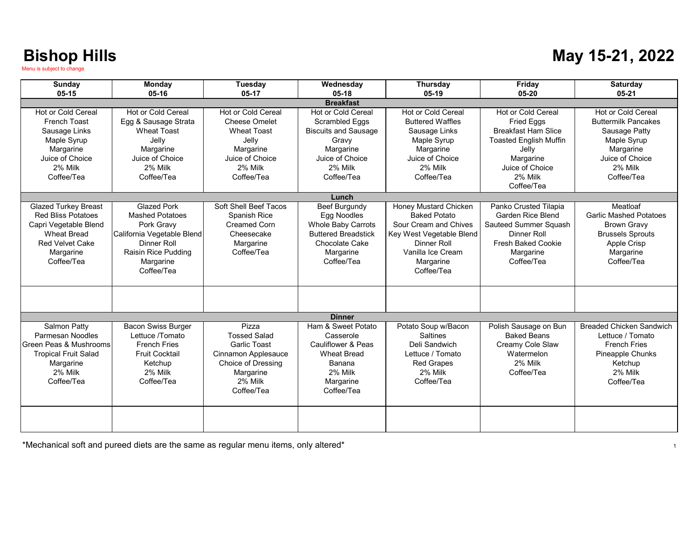### **May 15-21, 2022**

| Sunday                                                                                                                                                       | Monday                                                                                                                                             | <b>Tuesday</b>                                                                                                                  | Wednesday                                                                                                                     | <b>Thursday</b>                                                                                                                                                         | Friday                                                                                                                                     | <b>Saturday</b>                                                                                                                      |  |
|--------------------------------------------------------------------------------------------------------------------------------------------------------------|----------------------------------------------------------------------------------------------------------------------------------------------------|---------------------------------------------------------------------------------------------------------------------------------|-------------------------------------------------------------------------------------------------------------------------------|-------------------------------------------------------------------------------------------------------------------------------------------------------------------------|--------------------------------------------------------------------------------------------------------------------------------------------|--------------------------------------------------------------------------------------------------------------------------------------|--|
| $05 - 15$                                                                                                                                                    | 05-16                                                                                                                                              | $05-17$                                                                                                                         | $05-18$                                                                                                                       | $05-19$                                                                                                                                                                 | $05 - 20$                                                                                                                                  | $05 - 21$                                                                                                                            |  |
| <b>Breakfast</b>                                                                                                                                             |                                                                                                                                                    |                                                                                                                                 |                                                                                                                               |                                                                                                                                                                         |                                                                                                                                            |                                                                                                                                      |  |
| Hot or Cold Cereal<br><b>French Toast</b><br>Sausage Links                                                                                                   | Hot or Cold Cereal<br>Egg & Sausage Strata<br><b>Wheat Toast</b><br>Jelly                                                                          | Hot or Cold Cereal<br><b>Cheese Omelet</b><br><b>Wheat Toast</b><br>Jelly                                                       | <b>Hot or Cold Cereal</b><br>Scrambled Eggs<br><b>Biscuits and Sausage</b>                                                    | Hot or Cold Cereal<br><b>Buttered Waffles</b><br>Sausage Links                                                                                                          | Hot or Cold Cereal<br><b>Fried Eggs</b><br><b>Breakfast Ham Slice</b><br><b>Toasted English Muffin</b>                                     | Hot or Cold Cereal<br><b>Buttermilk Pancakes</b><br>Sausage Patty                                                                    |  |
| Maple Syrup<br>Margarine<br>Juice of Choice<br>2% Milk<br>Coffee/Tea                                                                                         | Margarine<br>Juice of Choice<br>2% Milk<br>Coffee/Tea                                                                                              | Margarine<br>Juice of Choice<br>2% Milk<br>Coffee/Tea                                                                           | Gravy<br>Margarine<br>Juice of Choice<br>2% Milk<br>Coffee/Tea                                                                | Maple Syrup<br>Margarine<br>Juice of Choice<br>2% Milk<br>Coffee/Tea                                                                                                    | Jelly<br>Margarine<br>Juice of Choice<br>2% Milk                                                                                           | Maple Syrup<br>Margarine<br>Juice of Choice<br>2% Milk<br>Coffee/Tea                                                                 |  |
|                                                                                                                                                              |                                                                                                                                                    |                                                                                                                                 |                                                                                                                               |                                                                                                                                                                         | Coffee/Tea                                                                                                                                 |                                                                                                                                      |  |
|                                                                                                                                                              |                                                                                                                                                    |                                                                                                                                 | Lunch                                                                                                                         |                                                                                                                                                                         |                                                                                                                                            |                                                                                                                                      |  |
| <b>Glazed Turkey Breast</b><br><b>Red Bliss Potatoes</b><br>Capri Vegetable Blend<br><b>Wheat Bread</b><br><b>Red Velvet Cake</b><br>Margarine<br>Coffee/Tea | <b>Glazed Pork</b><br>Mashed Potatoes<br>Pork Gravv<br>California Vegetable Blend<br>Dinner Roll<br>Raisin Rice Pudding<br>Margarine<br>Coffee/Tea | Soft Shell Beef Tacos<br>Spanish Rice<br><b>Creamed Corn</b><br>Cheesecake<br>Margarine<br>Coffee/Tea                           | Beef Burgundy<br>Egg Noodles<br>Whole Baby Carrots<br><b>Buttered Breadstick</b><br>Chocolate Cake<br>Margarine<br>Coffee/Tea | <b>Honey Mustard Chicken</b><br><b>Baked Potato</b><br>Sour Cream and Chives<br>Key West Vegetable Blend<br>Dinner Roll<br>Vanilla Ice Cream<br>Margarine<br>Coffee/Tea | Panko Crusted Tilapia<br>Garden Rice Blend<br>Sauteed Summer Squash<br>Dinner Roll<br><b>Fresh Baked Cookie</b><br>Margarine<br>Coffee/Tea | Meatloaf<br><b>Garlic Mashed Potatoes</b><br><b>Brown Gravy</b><br><b>Brussels Sprouts</b><br>Apple Crisp<br>Margarine<br>Coffee/Tea |  |
|                                                                                                                                                              |                                                                                                                                                    |                                                                                                                                 | <b>Dinner</b>                                                                                                                 |                                                                                                                                                                         |                                                                                                                                            |                                                                                                                                      |  |
| Salmon Patty<br>Parmesan Noodles<br>Green Peas & Mushrooms<br><b>Tropical Fruit Salad</b><br>Margarine<br>2% Milk<br>Coffee/Tea                              | Bacon Swiss Burger<br>Lettuce /Tomato<br><b>French Fries</b><br><b>Fruit Cocktail</b><br>Ketchup<br>2% Milk<br>Coffee/Tea                          | Pizza<br><b>Tossed Salad</b><br>Garlic Toast<br>Cinnamon Applesauce<br>Choice of Dressing<br>Margarine<br>2% Milk<br>Coffee/Tea | Ham & Sweet Potato<br>Casserole<br>Cauliflower & Peas<br><b>Wheat Bread</b><br>Banana<br>2% Milk<br>Margarine<br>Coffee/Tea   | Potato Soup w/Bacon<br><b>Saltines</b><br>Deli Sandwich<br>Lettuce / Tomato<br><b>Red Grapes</b><br>2% Milk<br>Coffee/Tea                                               | Polish Sausage on Bun<br><b>Baked Beans</b><br>Creamy Cole Slaw<br>Watermelon<br>2% Milk<br>Coffee/Tea                                     | <b>Breaded Chicken Sandwich</b><br>Lettuce / Tomato<br><b>French Fries</b><br>Pineapple Chunks<br>Ketchup<br>2% Milk<br>Coffee/Tea   |  |
|                                                                                                                                                              |                                                                                                                                                    |                                                                                                                                 |                                                                                                                               |                                                                                                                                                                         |                                                                                                                                            |                                                                                                                                      |  |

\*Mechanical soft and pureed diets are the same as regular menu items, only altered\*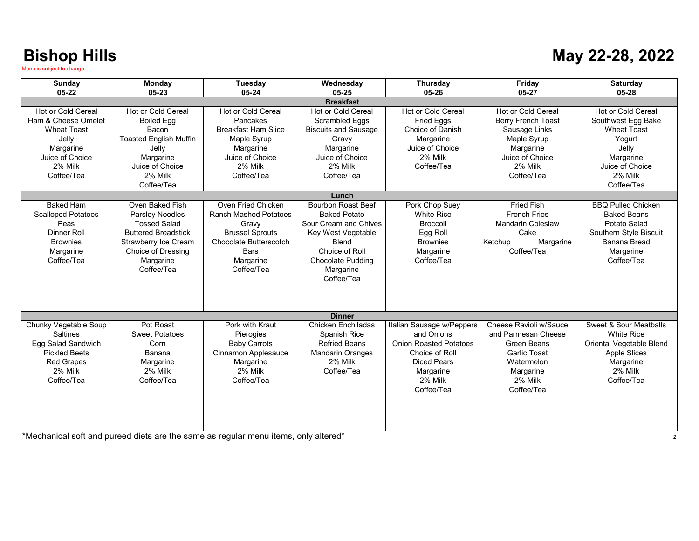#### **May 22-28, 2022**

| Sunday                                                                                                                        | Monday                                                                                                                                                                         | <b>Tuesday</b>                                                                                                                                            | Wednesday                                                                                                                                                                  | Thursday                                                                                                                                        | Friday                                                                                                                                          | Saturday                                                                                                                                          |
|-------------------------------------------------------------------------------------------------------------------------------|--------------------------------------------------------------------------------------------------------------------------------------------------------------------------------|-----------------------------------------------------------------------------------------------------------------------------------------------------------|----------------------------------------------------------------------------------------------------------------------------------------------------------------------------|-------------------------------------------------------------------------------------------------------------------------------------------------|-------------------------------------------------------------------------------------------------------------------------------------------------|---------------------------------------------------------------------------------------------------------------------------------------------------|
| $05 - 22$                                                                                                                     | 05-23                                                                                                                                                                          | 05-24                                                                                                                                                     | 05-25                                                                                                                                                                      | 05-26                                                                                                                                           | 05-27                                                                                                                                           | 05-28                                                                                                                                             |
| Hot or Cold Cereal<br>Ham & Cheese Omelet<br>Wheat Toast<br>Jelly<br>Margarine<br>Juice of Choice<br>2% Milk<br>Coffee/Tea    | Hot or Cold Cereal<br><b>Boiled Egg</b><br>Bacon<br><b>Toasted English Muffin</b><br>Jelly<br>Margarine<br>Juice of Choice<br>2% Milk<br>Coffee/Tea                            | <b>Hot or Cold Cereal</b><br>Pancakes<br><b>Breakfast Ham Slice</b><br>Maple Syrup<br>Margarine<br>Juice of Choice<br>2% Milk<br>Coffee/Tea               | <b>Breakfast</b><br>Hot or Cold Cereal<br>Scrambled Eggs<br><b>Biscuits and Sausage</b><br>Gravy<br>Margarine<br>Juice of Choice<br>2% Milk<br>Coffee/Tea                  | Hot or Cold Cereal<br>Fried Eggs<br>Choice of Danish<br>Margarine<br>Juice of Choice<br>2% Milk<br>Coffee/Tea                                   | <b>Hot or Cold Cereal</b><br><b>Berry French Toast</b><br>Sausage Links<br>Maple Syrup<br>Margarine<br>Juice of Choice<br>2% Milk<br>Coffee/Tea | <b>Hot or Cold Cereal</b><br>Southwest Egg Bake<br><b>Wheat Toast</b><br>Yogurt<br>Jelly<br>Margarine<br>Juice of Choice<br>2% Milk<br>Coffee/Tea |
|                                                                                                                               |                                                                                                                                                                                |                                                                                                                                                           | Lunch                                                                                                                                                                      |                                                                                                                                                 |                                                                                                                                                 |                                                                                                                                                   |
| <b>Baked Ham</b><br><b>Scalloped Potatoes</b><br>Peas<br><b>Dinner Roll</b><br><b>Brownies</b><br>Margarine<br>Coffee/Tea     | Oven Baked Fish<br><b>Parsley Noodles</b><br><b>Tossed Salad</b><br><b>Buttered Breadstick</b><br><b>Strawberry Ice Cream</b><br>Choice of Dressing<br>Margarine<br>Coffee/Tea | Oven Fried Chicken<br><b>Ranch Mashed Potatoes</b><br>Gravv<br><b>Brussel Sprouts</b><br>Chocolate Butterscotch<br><b>Bars</b><br>Margarine<br>Coffee/Tea | Bourbon Roast Beef<br><b>Baked Potato</b><br>Sour Cream and Chives<br>Key West Vegetable<br><b>Blend</b><br>Choice of Roll<br>Chocolate Pudding<br>Margarine<br>Coffee/Tea | Pork Chop Suey<br><b>White Rice</b><br><b>Broccoli</b><br>Egg Roll<br><b>Brownies</b><br>Margarine<br>Coffee/Tea                                | <b>Fried Fish</b><br><b>French Fries</b><br><b>Mandarin Coleslaw</b><br>Cake<br>Ketchup<br>Margarine<br>Coffee/Tea                              | <b>BBO Pulled Chicken</b><br><b>Baked Beans</b><br>Potato Salad<br>Southern Style Biscuit<br>Banana Bread<br>Margarine<br>Coffee/Tea              |
|                                                                                                                               |                                                                                                                                                                                |                                                                                                                                                           | <b>Dinner</b>                                                                                                                                                              |                                                                                                                                                 |                                                                                                                                                 |                                                                                                                                                   |
| Chunky Vegetable Soup<br>Saltines<br>Egg Salad Sandwich<br><b>Pickled Beets</b><br><b>Red Grapes</b><br>2% Milk<br>Coffee/Tea | Pot Roast<br><b>Sweet Potatoes</b><br>Corn<br>Banana<br>Margarine<br>2% Milk<br>Coffee/Tea                                                                                     | Pork with Kraut<br>Pierogies<br><b>Baby Carrots</b><br>Cinnamon Applesauce<br>Margarine<br>2% Milk<br>Coffee/Tea                                          | <b>Chicken Enchiladas</b><br>Spanish Rice<br><b>Refried Beans</b><br><b>Mandarin Oranges</b><br>2% Milk<br>Coffee/Tea                                                      | Italian Sausage w/Peppers<br>and Onions<br><b>Onion Roasted Potatoes</b><br>Choice of Roll<br>Diced Pears<br>Margarine<br>2% Milk<br>Coffee/Tea | Cheese Ravioli w/Sauce<br>and Parmesan Cheese<br><b>Green Beans</b><br><b>Garlic Toast</b><br>Watermelon<br>Margarine<br>2% Milk<br>Coffee/Tea  | Sweet & Sour Meatballs<br><b>White Rice</b><br>Oriental Vegetable Blend<br><b>Apple Slices</b><br>Margarine<br>2% Milk<br>Coffee/Tea              |
|                                                                                                                               |                                                                                                                                                                                |                                                                                                                                                           |                                                                                                                                                                            |                                                                                                                                                 |                                                                                                                                                 |                                                                                                                                                   |

\*Mechanical soft and pureed diets are the same as regular menu items, only altered\* 2008. The chanical soft and pureed diets are the same as regular menu items, only altered\*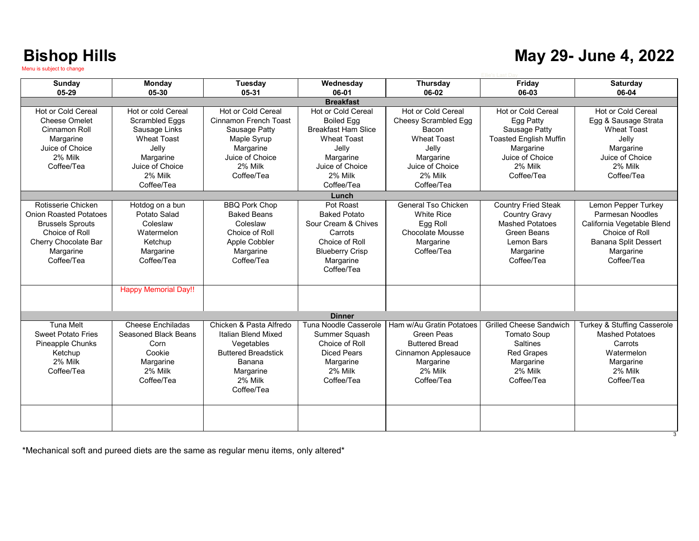#### **May 29- June 4, 2022**

| <b>Sunday</b>                 | Monday                      | Tuesday                    | Wednesday                  | <b>Thursday</b>           | Friday                         | <b>Saturday</b>             |  |
|-------------------------------|-----------------------------|----------------------------|----------------------------|---------------------------|--------------------------------|-----------------------------|--|
| 05-29                         | 05-30                       | 05-31                      | 06-01                      | 06-02                     | 06-03                          | 06-04                       |  |
| <b>Breakfast</b>              |                             |                            |                            |                           |                                |                             |  |
| Hot or Cold Cereal            | Hot or cold Cereal          | Hot or Cold Cereal         | <b>Hot or Cold Cereal</b>  | <b>Hot or Cold Cereal</b> | Hot or Cold Cereal             | <b>Hot or Cold Cereal</b>   |  |
| <b>Cheese Omelet</b>          | Scrambled Eggs              | Cinnamon French Toast      | <b>Boiled Egg</b>          | Cheesy Scrambled Egg      | Egg Patty                      | Egg & Sausage Strata        |  |
| Cinnamon Roll                 | Sausage Links               | Sausage Patty              | <b>Breakfast Ham Slice</b> | Bacon                     | Sausage Patty                  | <b>Wheat Toast</b>          |  |
| Margarine                     | <b>Wheat Toast</b>          | Maple Syrup                | <b>Wheat Toast</b>         | <b>Wheat Toast</b>        | <b>Toasted English Muffin</b>  | Jelly                       |  |
| Juice of Choice               | Jelly                       | Margarine                  | Jelly                      | Jelly                     | Margarine                      | Margarine                   |  |
| 2% Milk                       | Margarine                   | Juice of Choice            | Margarine                  | Margarine                 | Juice of Choice                | Juice of Choice             |  |
| Coffee/Tea                    | Juice of Choice             | 2% Milk                    | Juice of Choice            | Juice of Choice           | 2% Milk                        | 2% Milk                     |  |
|                               | 2% Milk                     | Coffee/Tea                 | 2% Milk                    | 2% Milk                   | Coffee/Tea                     | Coffee/Tea                  |  |
|                               | Coffee/Tea                  |                            | Coffee/Tea                 | Coffee/Tea                |                                |                             |  |
|                               |                             |                            | Lunch                      |                           |                                |                             |  |
| Rotisserie Chicken            | Hotdog on a bun             | <b>BBQ Pork Chop</b>       | Pot Roast                  | General Tso Chicken       | <b>Country Fried Steak</b>     | Lemon Pepper Turkey         |  |
| <b>Onion Roasted Potatoes</b> | Potato Salad                | <b>Baked Beans</b>         | <b>Baked Potato</b>        | <b>White Rice</b>         | <b>Country Gravy</b>           | Parmesan Noodles            |  |
| <b>Brussels Sprouts</b>       | Coleslaw                    | Coleslaw                   | Sour Cream & Chives        | Egg Roll                  | <b>Mashed Potatoes</b>         | California Vegetable Blend  |  |
| Choice of Roll                | Watermelon                  | Choice of Roll             | Carrots                    | Chocolate Mousse          | <b>Green Beans</b>             | Choice of Roll              |  |
| Cherry Chocolate Bar          | Ketchup                     | Apple Cobbler              | Choice of Roll             | Margarine                 | Lemon Bars                     | <b>Banana Split Dessert</b> |  |
| Margarine                     | Margarine                   | Margarine                  | <b>Blueberry Crisp</b>     | Coffee/Tea                | Margarine                      | Margarine                   |  |
| Coffee/Tea                    | Coffee/Tea                  | Coffee/Tea                 | Margarine                  |                           | Coffee/Tea                     | Coffee/Tea                  |  |
|                               |                             |                            | Coffee/Tea                 |                           |                                |                             |  |
|                               |                             |                            |                            |                           |                                |                             |  |
|                               | <b>Happy Memorial Day!!</b> |                            |                            |                           |                                |                             |  |
|                               |                             |                            |                            |                           |                                |                             |  |
|                               |                             |                            |                            |                           |                                |                             |  |
|                               |                             |                            | <b>Dinner</b>              |                           |                                |                             |  |
| <b>Tuna Melt</b>              | Cheese Enchiladas           | Chicken & Pasta Alfredo    | Tuna Noodle Casserole      | Ham w/Au Gratin Potatoes  | <b>Grilled Cheese Sandwich</b> | Turkey & Stuffing Casserole |  |
| <b>Sweet Potato Fries</b>     | Seasoned Black Beans        | Italian Blend Mixed        | Summer Squash              | Green Peas                | <b>Tomato Soup</b>             | <b>Mashed Potatoes</b>      |  |
| Pineapple Chunks              | Corn                        | Vegetables                 | Choice of Roll             | <b>Buttered Bread</b>     | <b>Saltines</b>                | Carrots                     |  |
| Ketchup                       | Cookie                      | <b>Buttered Breadstick</b> | <b>Diced Pears</b>         | Cinnamon Applesauce       | <b>Red Grapes</b>              | Watermelon                  |  |
| 2% Milk                       | Margarine                   | Banana                     | Margarine                  | Margarine                 | Margarine                      | Margarine                   |  |
| Coffee/Tea                    | 2% Milk                     | Margarine                  | 2% Milk                    | 2% Milk                   | 2% Milk                        | 2% Milk                     |  |
|                               | Coffee/Tea                  | 2% Milk                    | Coffee/Tea                 | Coffee/Tea                | Coffee/Tea                     | Coffee/Tea                  |  |
|                               |                             | Coffee/Tea                 |                            |                           |                                |                             |  |
|                               |                             |                            |                            |                           |                                |                             |  |
|                               |                             |                            |                            |                           |                                |                             |  |
|                               |                             |                            |                            |                           |                                |                             |  |
|                               |                             |                            |                            |                           |                                |                             |  |

\*Mechanical soft and pureed diets are the same as regular menu items, only altered\*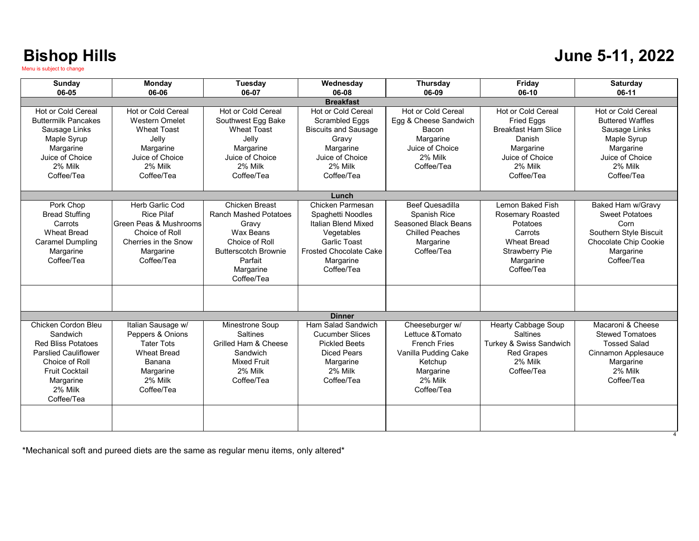#### **June 5-11, 2022**

| Sunday                                                                                                                                                                       | <b>Monday</b>                                                                                                                       | Tuesday                                                                                                                                                            | Wednesdav                                                                                                                                                     | <b>Thursday</b>                                                                                                                     | Friday                                                                                                                                       | <b>Saturdav</b>                                                                                                                        |
|------------------------------------------------------------------------------------------------------------------------------------------------------------------------------|-------------------------------------------------------------------------------------------------------------------------------------|--------------------------------------------------------------------------------------------------------------------------------------------------------------------|---------------------------------------------------------------------------------------------------------------------------------------------------------------|-------------------------------------------------------------------------------------------------------------------------------------|----------------------------------------------------------------------------------------------------------------------------------------------|----------------------------------------------------------------------------------------------------------------------------------------|
| 06-05                                                                                                                                                                        | 06-06                                                                                                                               | 06-07                                                                                                                                                              | 06-08                                                                                                                                                         | 06-09                                                                                                                               | 06-10                                                                                                                                        | 06-11                                                                                                                                  |
|                                                                                                                                                                              |                                                                                                                                     |                                                                                                                                                                    | <b>Breakfast</b>                                                                                                                                              |                                                                                                                                     |                                                                                                                                              |                                                                                                                                        |
| Hot or Cold Cereal<br><b>Buttermilk Pancakes</b><br>Sausage Links<br>Maple Syrup<br>Margarine<br>Juice of Choice<br>2% Milk<br>Coffee/Tea                                    | Hot or Cold Cereal<br><b>Western Omelet</b><br><b>Wheat Toast</b><br>Jelly<br>Margarine<br>Juice of Choice<br>2% Milk<br>Coffee/Tea | Hot or Cold Cereal<br>Southwest Egg Bake<br><b>Wheat Toast</b><br>Jelly<br>Margarine<br>Juice of Choice<br>2% Milk<br>Coffee/Tea                                   | Hot or Cold Cereal<br><b>Scrambled Eggs</b><br><b>Biscuits and Sausage</b><br>Gravv<br>Margarine<br>Juice of Choice<br>2% Milk<br>Coffee/Tea                  | <b>Hot or Cold Cereal</b><br>Egg & Cheese Sandwich<br>Bacon<br>Margarine<br>Juice of Choice<br>2% Milk<br>Coffee/Tea                | Hot or Cold Cereal<br><b>Fried Eggs</b><br><b>Breakfast Ham Slice</b><br>Danish<br>Margarine<br>Juice of Choice<br>2% Milk<br>Coffee/Tea     | Hot or Cold Cereal<br><b>Buttered Waffles</b><br>Sausage Links<br>Maple Syrup<br>Margarine<br>Juice of Choice<br>2% Milk<br>Coffee/Tea |
|                                                                                                                                                                              |                                                                                                                                     |                                                                                                                                                                    |                                                                                                                                                               |                                                                                                                                     |                                                                                                                                              |                                                                                                                                        |
|                                                                                                                                                                              |                                                                                                                                     |                                                                                                                                                                    | Lunch                                                                                                                                                         |                                                                                                                                     |                                                                                                                                              |                                                                                                                                        |
| Pork Chop<br><b>Bread Stuffing</b><br>Carrots<br><b>Wheat Bread</b><br><b>Caramel Dumpling</b><br>Margarine<br>Coffee/Tea                                                    | Herb Garlic Cod<br><b>Rice Pilaf</b><br>Green Peas & Mushrooms<br>Choice of Roll<br>Cherries in the Snow<br>Margarine<br>Coffee/Tea | <b>Chicken Breast</b><br><b>Ranch Mashed Potatoes</b><br>Gravv<br>Wax Beans<br>Choice of Roll<br><b>Butterscotch Brownie</b><br>Parfait<br>Margarine<br>Coffee/Tea | Chicken Parmesan<br>Spaghetti Noodles<br>Italian Blend Mixed<br>Vegetables<br><b>Garlic Toast</b><br><b>Frosted Chocolate Cake</b><br>Margarine<br>Coffee/Tea | <b>Beef Quesadilla</b><br>Spanish Rice<br>Seasoned Black Beans<br><b>Chilled Peaches</b><br>Margarine<br>Coffee/Tea                 | Lemon Baked Fish<br><b>Rosemary Roasted</b><br>Potatoes<br>Carrots<br><b>Wheat Bread</b><br><b>Strawberry Pie</b><br>Margarine<br>Coffee/Tea | Baked Ham w/Gravy<br><b>Sweet Potatoes</b><br>Corn<br>Southern Style Biscuit<br>Chocolate Chip Cookie<br>Margarine<br>Coffee/Tea       |
|                                                                                                                                                                              |                                                                                                                                     |                                                                                                                                                                    | <b>Dinner</b>                                                                                                                                                 |                                                                                                                                     |                                                                                                                                              |                                                                                                                                        |
| Chicken Cordon Bleu<br>Sandwich<br><b>Red Bliss Potatoes</b><br><b>Parslied Cauliflower</b><br>Choice of Roll<br><b>Fruit Cocktail</b><br>Margarine<br>2% Milk<br>Coffee/Tea | Italian Sausage w/<br>Peppers & Onions<br><b>Tater Tots</b><br><b>Wheat Bread</b><br>Banana<br>Margarine<br>2% Milk<br>Coffee/Tea   | Minestrone Soup<br><b>Saltines</b><br>Grilled Ham & Cheese<br>Sandwich<br><b>Mixed Fruit</b><br>2% Milk<br>Coffee/Tea                                              | Ham Salad Sandwich<br><b>Cucumber Slices</b><br><b>Pickled Beets</b><br><b>Diced Pears</b><br>Margarine<br>2% Milk<br>Coffee/Tea                              | Cheeseburger w/<br>Lettuce & Tomato<br><b>French Fries</b><br>Vanilla Pudding Cake<br>Ketchup<br>Margarine<br>2% Milk<br>Coffee/Tea | <b>Hearty Cabbage Soup</b><br><b>Saltines</b><br>Turkey & Swiss Sandwich<br><b>Red Grapes</b><br>2% Milk<br>Coffee/Tea                       | Macaroni & Cheese<br><b>Stewed Tomatoes</b><br><b>Tossed Salad</b><br>Cinnamon Applesauce<br>Margarine<br>2% Milk<br>Coffee/Tea        |
|                                                                                                                                                                              |                                                                                                                                     |                                                                                                                                                                    |                                                                                                                                                               |                                                                                                                                     |                                                                                                                                              |                                                                                                                                        |

\*Mechanical soft and pureed diets are the same as regular menu items, only altered\*

4